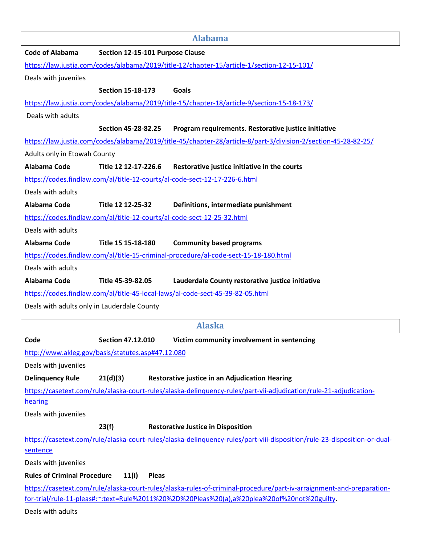|                                             |                                                   | <b>Alabama</b>                                                                                                                                                                                                      |
|---------------------------------------------|---------------------------------------------------|---------------------------------------------------------------------------------------------------------------------------------------------------------------------------------------------------------------------|
| <b>Code of Alabama</b>                      | Section 12-15-101 Purpose Clause                  |                                                                                                                                                                                                                     |
|                                             |                                                   | https://law.justia.com/codes/alabama/2019/title-12/chapter-15/article-1/section-12-15-101/                                                                                                                          |
| Deals with juveniles                        |                                                   |                                                                                                                                                                                                                     |
|                                             | <b>Section 15-18-173</b>                          | Goals                                                                                                                                                                                                               |
|                                             |                                                   | https://law.justia.com/codes/alabama/2019/title-15/chapter-18/article-9/section-15-18-173/                                                                                                                          |
| Deals with adults                           |                                                   |                                                                                                                                                                                                                     |
|                                             | Section 45-28-82.25                               | Program requirements. Restorative justice initiative                                                                                                                                                                |
|                                             |                                                   | https://law.justia.com/codes/alabama/2019/title-45/chapter-28/article-8/part-3/division-2/section-45-28-82-25/                                                                                                      |
| Adults only in Etowah County                |                                                   |                                                                                                                                                                                                                     |
| Alabama Code                                | Title 12 12-17-226.6                              | Restorative justice initiative in the courts                                                                                                                                                                        |
|                                             |                                                   | https://codes.findlaw.com/al/title-12-courts/al-code-sect-12-17-226-6.html                                                                                                                                          |
| Deals with adults                           |                                                   |                                                                                                                                                                                                                     |
| Alabama Code                                | Title 12 12-25-32                                 | Definitions, intermediate punishment                                                                                                                                                                                |
|                                             |                                                   | https://codes.findlaw.com/al/title-12-courts/al-code-sect-12-25-32.html                                                                                                                                             |
| Deals with adults                           |                                                   |                                                                                                                                                                                                                     |
| Alabama Code                                | Title 15 15-18-180                                | <b>Community based programs</b>                                                                                                                                                                                     |
|                                             |                                                   | https://codes.findlaw.com/al/title-15-criminal-procedure/al-code-sect-15-18-180.html                                                                                                                                |
| Deals with adults                           |                                                   |                                                                                                                                                                                                                     |
|                                             |                                                   |                                                                                                                                                                                                                     |
| Alabama Code                                | Title 45-39-82.05                                 | Lauderdale County restorative justice initiative                                                                                                                                                                    |
|                                             |                                                   | https://codes.findlaw.com/al/title-45-local-laws/al-code-sect-45-39-82-05.html                                                                                                                                      |
| Deals with adults only in Lauderdale County |                                                   |                                                                                                                                                                                                                     |
|                                             |                                                   | <b>Alaska</b>                                                                                                                                                                                                       |
| Code                                        | <b>Section 47.12.010</b>                          | Victim community involvement in sentencing                                                                                                                                                                          |
|                                             | http://www.akleg.gov/basis/statutes.asp#47.12.080 |                                                                                                                                                                                                                     |
| Deals with juveniles                        |                                                   |                                                                                                                                                                                                                     |
| <b>Delinquency Rule</b>                     | 21(d)(3)                                          | <b>Restorative justice in an Adjudication Hearing</b>                                                                                                                                                               |
|                                             |                                                   | https://casetext.com/rule/alaska-court-rules/alaska-delinguency-rules/part-vii-adjudication/rule-21-adjudication-                                                                                                   |
| hearing                                     |                                                   |                                                                                                                                                                                                                     |
| Deals with juveniles                        |                                                   |                                                                                                                                                                                                                     |
|                                             | 23(f)                                             | <b>Restorative Justice in Disposition</b>                                                                                                                                                                           |
|                                             |                                                   | https://casetext.com/rule/alaska-court-rules/alaska-delinguency-rules/part-viii-disposition/rule-23-disposition-or-dual-                                                                                            |
| sentence                                    |                                                   |                                                                                                                                                                                                                     |
| Deals with juveniles                        |                                                   |                                                                                                                                                                                                                     |
| <b>Rules of Criminal Procedure</b>          | 11(i)<br><b>Pleas</b>                             |                                                                                                                                                                                                                     |
|                                             |                                                   | https://casetext.com/rule/alaska-court-rules/alaska-rules-of-criminal-procedure/part-iv-arraignment-and-preparation-<br>for-trial/rule-11-pleas#:~:text=Rule%2011%20%2D%20Pleas%20(a),a%20plea%20of%20not%20guilty. |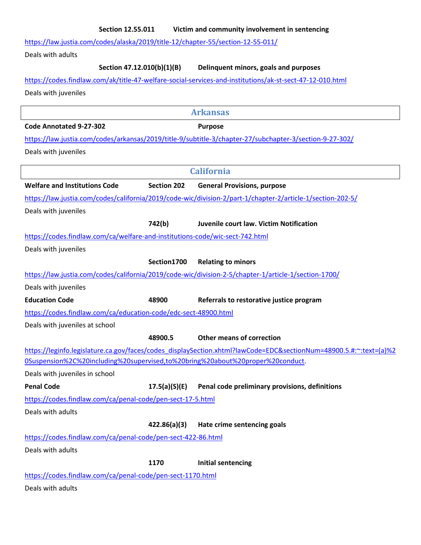## **Section 12.55.011 Victim and community involvement in sentencing**

https://law.justia.com/codes/alaska/2019/title-12/chapter-55/section-12-55-011/

Deals with adults

**Section 47.12.010(b)(1)(B) Delinquent minors, goals and purposes** 

### https://codes.findlaw.com/ak/title-47-welfare-social-services-and-institutions/ak-st-sect-47-12-010.html

Deals with juveniles

**Arkansas Code Annotated 9-27-302 Purpose**  https://law.justia.com/codes/arkansas/2019/title-9/subtitle-3/chapter-27/subchapter-3/section-9-27-302/ Deals with juveniles **California Welfare and Institutions Code Section 202 General Provisions, purpose**  https://law.justia.com/codes/california/2019/code-wic/division-2/part-1/chapter-2/article-1/section-202-5/ Deals with juveniles  **742(b) Juvenile court law. Victim Notification** https://codes.findlaw.com/ca/welfare-and-institutions-code/wic-sect-742.html Deals with juveniles  **Section1700 Relating to minors**  https://law.justia.com/codes/california/2019/code-wic/division-2-5/chapter-1/article-1/section-1700/ Deals with juveniles **Education Code 48900 Referrals to restorative justice program**  https://codes.findlaw.com/ca/education-code/edc-sect-48900.html Deals with juveniles at school  **48900.5 Other means of correction** https://leginfo.legislature.ca.gov/faces/codes\_displaySection.xhtml?lawCode=EDC&sectionNum=48900.5.#:~:text=(a)%2 0Suspension%2C%20including%20supervised,to%20bring%20about%20proper%20conduct. Deals with juveniles in school **Penal Code 17.5(a)(S)(E) Penal code preliminary provisions, definitions** https://codes.findlaw.com/ca/penal-code/pen-sect-17-5.html Deals with adults **422.86(a)(3) Hate crime sentencing goals** https://codes.findlaw.com/ca/penal-code/pen-sect-422-86.html Deals with adults  **1170 Initial sentencing** https://codes.findlaw.com/ca/penal-code/pen-sect-1170.html Deals with adults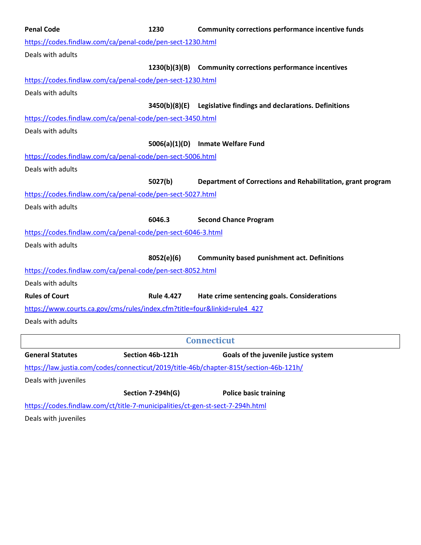| <b>Penal Code</b>                                                                      | 1230              | <b>Community corrections performance incentive funds</b>         |
|----------------------------------------------------------------------------------------|-------------------|------------------------------------------------------------------|
| https://codes.findlaw.com/ca/penal-code/pen-sect-1230.html                             |                   |                                                                  |
| Deals with adults                                                                      |                   |                                                                  |
|                                                                                        |                   | 1230(b)(3)(B) Community corrections performance incentives       |
| https://codes.findlaw.com/ca/penal-code/pen-sect-1230.html                             |                   |                                                                  |
| Deals with adults                                                                      |                   |                                                                  |
|                                                                                        |                   | 3450(b)(8)(E) Legislative findings and declarations. Definitions |
| https://codes.findlaw.com/ca/penal-code/pen-sect-3450.html                             |                   |                                                                  |
| Deals with adults                                                                      |                   |                                                                  |
|                                                                                        |                   | 5006(a)(1)(D) Inmate Welfare Fund                                |
| https://codes.findlaw.com/ca/penal-code/pen-sect-5006.html                             |                   |                                                                  |
| Deals with adults                                                                      |                   |                                                                  |
|                                                                                        | 5027(b)           | Department of Corrections and Rehabilitation, grant program      |
| https://codes.findlaw.com/ca/penal-code/pen-sect-5027.html                             |                   |                                                                  |
| Deals with adults                                                                      |                   |                                                                  |
|                                                                                        | 6046.3            | <b>Second Chance Program</b>                                     |
| https://codes.findlaw.com/ca/penal-code/pen-sect-6046-3.html                           |                   |                                                                  |
| Deals with adults                                                                      |                   |                                                                  |
|                                                                                        | 8052(e)(6)        | <b>Community based punishment act. Definitions</b>               |
| https://codes.findlaw.com/ca/penal-code/pen-sect-8052.html                             |                   |                                                                  |
| Deals with adults                                                                      |                   |                                                                  |
| <b>Rules of Court</b>                                                                  | <b>Rule 4.427</b> | Hate crime sentencing goals. Considerations                      |
| https://www.courts.ca.gov/cms/rules/index.cfm?title=four&linkid=rule4_427              |                   |                                                                  |
| Deals with adults                                                                      |                   |                                                                  |
|                                                                                        |                   | <b>Connecticut</b>                                               |
| <b>General Statutes</b>                                                                | Section 46b-121h  | Goals of the juvenile justice system                             |
| https://law.justia.com/codes/connecticut/2019/title-46b/chapter-815t/section-46b-121h/ |                   |                                                                  |
| Deals with juveniles                                                                   |                   |                                                                  |

**Section 7-294h(G) Police basic training**

https://codes.findlaw.com/ct/title-7-municipalities/ct-gen-st-sect-7-294h.html

Deals with juveniles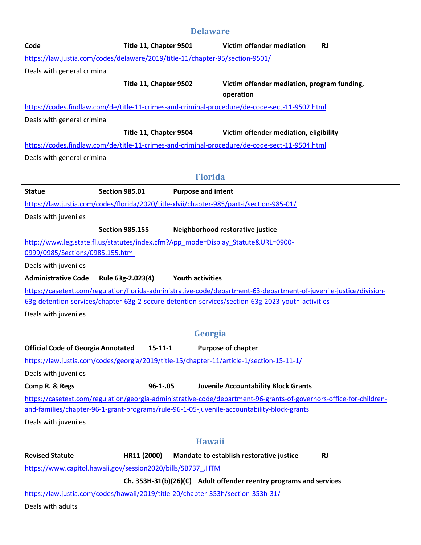|                                           | <b>Delaware</b>                                                                                  |                                                                                                                    |
|-------------------------------------------|--------------------------------------------------------------------------------------------------|--------------------------------------------------------------------------------------------------------------------|
| Code                                      | Title 11, Chapter 9501                                                                           | Victim offender mediation<br><b>RJ</b>                                                                             |
|                                           | https://law.justia.com/codes/delaware/2019/title-11/chapter-95/section-9501/                     |                                                                                                                    |
| Deals with general criminal               |                                                                                                  |                                                                                                                    |
|                                           | Title 11, Chapter 9502                                                                           | Victim offender mediation, program funding,<br>operation                                                           |
|                                           | https://codes.findlaw.com/de/title-11-crimes-and-criminal-procedure/de-code-sect-11-9502.html    |                                                                                                                    |
| Deals with general criminal               |                                                                                                  |                                                                                                                    |
|                                           | Title 11, Chapter 9504                                                                           | Victim offender mediation, eligibility                                                                             |
|                                           | https://codes.findlaw.com/de/title-11-crimes-and-criminal-procedure/de-code-sect-11-9504.html    |                                                                                                                    |
| Deals with general criminal               |                                                                                                  |                                                                                                                    |
|                                           | <b>Florida</b>                                                                                   |                                                                                                                    |
| <b>Statue</b>                             | <b>Section 985.01</b><br><b>Purpose and intent</b>                                               |                                                                                                                    |
|                                           | https://law.justia.com/codes/florida/2020/title-xlvii/chapter-985/part-i/section-985-01/         |                                                                                                                    |
| Deals with juveniles                      |                                                                                                  |                                                                                                                    |
|                                           | <b>Section 985.155</b>                                                                           | Neighborhood restorative justice                                                                                   |
|                                           | http://www.leg.state.fl.us/statutes/index.cfm?App_mode=Display_Statute&URL=0900-                 |                                                                                                                    |
| 0999/0985/Sections/0985.155.html          |                                                                                                  |                                                                                                                    |
| Deals with juveniles                      |                                                                                                  |                                                                                                                    |
| <b>Administrative Code</b>                | <b>Youth activities</b><br>Rule 63g-2.023(4)                                                     |                                                                                                                    |
|                                           |                                                                                                  | https://casetext.com/regulation/florida-administrative-code/department-63-department-of-juvenile-justice/division- |
|                                           | 63g-detention-services/chapter-63g-2-secure-detention-services/section-63g-2023-youth-activities |                                                                                                                    |
| Deals with juveniles                      |                                                                                                  |                                                                                                                    |
|                                           | Georgia                                                                                          |                                                                                                                    |
| <b>Official Code of Georgia Annotated</b> | $15 - 11 - 1$                                                                                    | <b>Purpose of chapter</b>                                                                                          |
|                                           | https://law.justia.com/codes/georgia/2019/title-15/chapter-11/article-1/section-15-11-1/         |                                                                                                                    |
| Deals with juveniles                      |                                                                                                  |                                                                                                                    |
| Comp R. & Regs                            | $96 - 1 - 05$                                                                                    | <b>Juvenile Accountability Block Grants</b>                                                                        |
|                                           |                                                                                                  | https://casetext.com/regulation/georgia-administrative-code/department-96-grants-of-governors-office-for-children- |
|                                           | and-families/chapter-96-1-grant-programs/rule-96-1-05-juvenile-accountability-block-grants       |                                                                                                                    |
| Deals with juveniles                      |                                                                                                  |                                                                                                                    |
|                                           | <b>Hawaii</b>                                                                                    |                                                                                                                    |
| <b>Revised Statute</b>                    | HR11 (2000)                                                                                      | Mandate to establish restorative justice<br><b>RJ</b>                                                              |
|                                           | https://www.capitol.hawaii.gov/session2020/bills/SB737 .HTM                                      |                                                                                                                    |
|                                           |                                                                                                  | Ch. 353H-31(b)(26)(C) Adult offender reentry programs and services                                                 |
|                                           | https://law.justia.com/codes/hawaii/2019/title-20/chapter-353h/section-353h-31/                  |                                                                                                                    |
| Deals with adults                         |                                                                                                  |                                                                                                                    |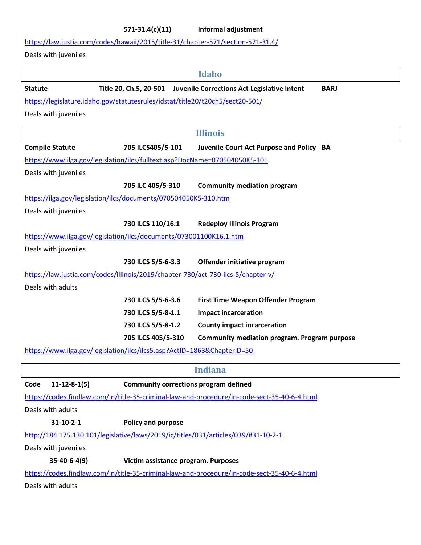**571-31.4(c)(11) Informal adjustment**

https://law.justia.com/codes/hawaii/2015/title-31/chapter-571/section-571-31.4/

Deals with juveniles

|                                                                                  |                                              | <b>Idaho</b>                                                                                 |
|----------------------------------------------------------------------------------|----------------------------------------------|----------------------------------------------------------------------------------------------|
| <b>Statute</b>                                                                   |                                              | Title 20, Ch.5, 20-501 Juvenile Corrections Act Legislative Intent<br><b>BARJ</b>            |
| https://legislature.idaho.gov/statutesrules/idstat/title20/t20ch5/sect20-501/    |                                              |                                                                                              |
| Deals with juveniles                                                             |                                              |                                                                                              |
|                                                                                  |                                              | <b>Illinois</b>                                                                              |
| <b>Compile Statute</b>                                                           | 705 ILCS405/5-101                            | Juvenile Court Act Purpose and Policy BA                                                     |
| https://www.ilga.gov/legislation/ilcs/fulltext.asp?DocName=070504050K5-101       |                                              |                                                                                              |
| Deals with juveniles                                                             |                                              |                                                                                              |
|                                                                                  | 705 ILC 405/5-310                            | <b>Community mediation program</b>                                                           |
| https://ilga.gov/legislation/ilcs/documents/070504050K5-310.htm                  |                                              |                                                                                              |
| Deals with juveniles                                                             |                                              |                                                                                              |
|                                                                                  | 730 ILCS 110/16.1                            | <b>Redeploy Illinois Program</b>                                                             |
| https://www.ilga.gov/legislation/ilcs/documents/073001100K16.1.htm               |                                              |                                                                                              |
| Deals with juveniles                                                             |                                              |                                                                                              |
|                                                                                  | 730 ILCS 5/5-6-3.3                           | Offender initiative program                                                                  |
| https://law.justia.com/codes/illinois/2019/chapter-730/act-730-ilcs-5/chapter-v/ |                                              |                                                                                              |
| Deals with adults                                                                |                                              |                                                                                              |
|                                                                                  | 730 ILCS 5/5-6-3.6                           | <b>First Time Weapon Offender Program</b>                                                    |
|                                                                                  | 730 ILCS 5/5-8-1.1                           | <b>Impact incarceration</b>                                                                  |
|                                                                                  | 730 ILCS 5/5-8-1.2                           | <b>County impact incarceration</b>                                                           |
|                                                                                  | 705 ILCS 405/5-310                           | <b>Community mediation program. Program purpose</b>                                          |
| https://www.ilga.gov/legislation/ilcs/ilcs5.asp?ActID=1863&ChapterID=50          |                                              |                                                                                              |
|                                                                                  |                                              | <b>Indiana</b>                                                                               |
| $11 - 12 - 8 - 1(5)$<br>Code                                                     | <b>Community corrections program defined</b> |                                                                                              |
|                                                                                  |                                              | https://codes.findlaw.com/in/title-35-criminal-law-and-procedure/in-code-sect-35-40-6-4.html |
| Deals with adults                                                                |                                              |                                                                                              |
| $31 - 10 - 2 - 1$                                                                | Policy and purpose                           |                                                                                              |
|                                                                                  |                                              | http://184.175.130.101/legislative/laws/2019/ic/titles/031/articles/039/#31-10-2-1           |
| Deals with juveniles                                                             |                                              |                                                                                              |
| $35-40-6-4(9)$                                                                   | Victim assistance program. Purposes          |                                                                                              |
|                                                                                  |                                              | https://codes.findlaw.com/in/title-35-criminal-law-and-procedure/in-code-sect-35-40-6-4.html |
| Deals with adults                                                                |                                              |                                                                                              |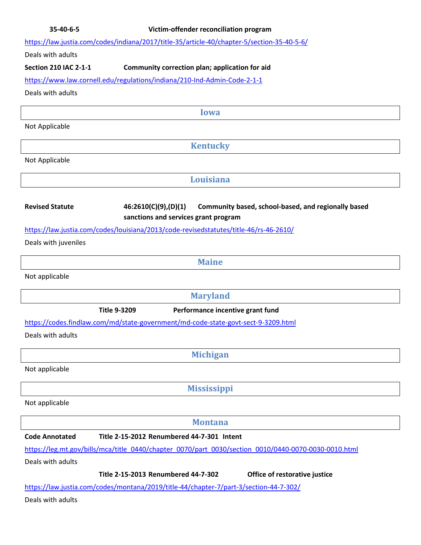https://law.justia.com/codes/indiana/2017/title-35/article-40/chapter-5/section-35-40-5-6/

Deals with adults

## **Section 210 IAC 2-1-1 Community correction plan; application for aid**

https://www.law.cornell.edu/regulations/indiana/210-Ind-Admin-Code-2-1-1

Deals with adults

**Iowa** 

Not Applicable

**Kentucky** 

Not Applicable

**Louisiana** 

**Revised Statute 46:2610(C)(9),(D)(1) Community based, school-based, and regionally based sanctions and services grant program**

https://law.justia.com/codes/louisiana/2013/code-revisedstatutes/title-46/rs-46-2610/

Deals with juveniles

**Maine** 

Not applicable

**Maryland** 

**Title 9-3209 Performance incentive grant fund**

https://codes.findlaw.com/md/state-government/md-code-state-govt-sect-9-3209.html

Deals with adults

**Michigan** 

Not applicable

**Mississippi** 

Not applicable

**Montana** 

**Code Annotated Title 2-15-2012 Renumbered 44-7-301 Intent** 

https://leg.mt.gov/bills/mca/title\_0440/chapter\_0070/part\_0030/section\_0010/0440-0070-0030-0010.html

Deals with adults

**Title 2-15-2013 Renumbered 44-7-302 Office of restorative justice**

https://law.justia.com/codes/montana/2019/title-44/chapter-7/part-3/section-44-7-302/

Deals with adults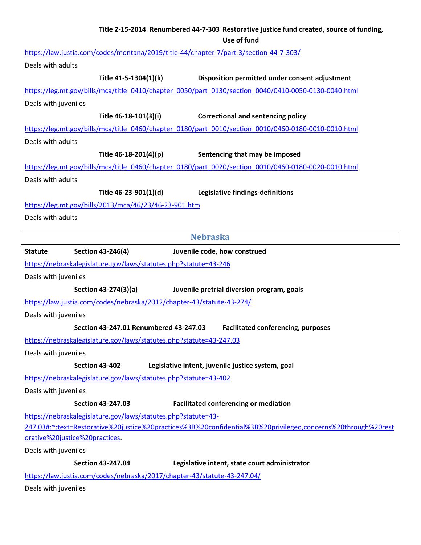| Title 2-15-2014 Renumbered 44-7-303 Restorative justice fund created, source of funding,<br>Use of fund                                                                       |  |
|-------------------------------------------------------------------------------------------------------------------------------------------------------------------------------|--|
| https://law.justia.com/codes/montana/2019/title-44/chapter-7/part-3/section-44-7-303/                                                                                         |  |
| Deals with adults                                                                                                                                                             |  |
| Title 41-5-1304(1)(k)<br>Disposition permitted under consent adjustment                                                                                                       |  |
| https://leg.mt.gov/bills/mca/title_0410/chapter_0050/part_0130/section_0040/0410-0050-0130-0040.html                                                                          |  |
|                                                                                                                                                                               |  |
| Deals with juveniles                                                                                                                                                          |  |
| Title 46-18-101(3)(i)<br><b>Correctional and sentencing policy</b>                                                                                                            |  |
| https://leg.mt.gov/bills/mca/title_0460/chapter_0180/part_0010/section_0010/0460-0180-0010-0010.html                                                                          |  |
| Deals with adults                                                                                                                                                             |  |
| Title 46-18-201(4)(p)<br>Sentencing that may be imposed                                                                                                                       |  |
| https://leg.mt.gov/bills/mca/title_0460/chapter_0180/part_0020/section_0010/0460-0180-0020-0010.html                                                                          |  |
| Deals with adults                                                                                                                                                             |  |
| Title 46-23-901(1)(d)<br>Legislative findings-definitions                                                                                                                     |  |
| https://leg.mt.gov/bills/2013/mca/46/23/46-23-901.htm                                                                                                                         |  |
| Deals with adults                                                                                                                                                             |  |
| <b>Nebraska</b>                                                                                                                                                               |  |
| Section 43-246(4)<br>Juvenile code, how construed<br><b>Statute</b>                                                                                                           |  |
| https://nebraskalegislature.gov/laws/statutes.php?statute=43-246                                                                                                              |  |
| Deals with juveniles                                                                                                                                                          |  |
| Section 43-274(3)(a)<br>Juvenile pretrial diversion program, goals                                                                                                            |  |
| https://law.justia.com/codes/nebraska/2012/chapter-43/statute-43-274/                                                                                                         |  |
| Deals with juveniles                                                                                                                                                          |  |
| Section 43-247.01 Renumbered 43-247.03<br><b>Facilitated conferencing, purposes</b>                                                                                           |  |
| https://nebraskalegislature.gov/laws/statutes.php?statute=43-247.03                                                                                                           |  |
| Deals with juveniles                                                                                                                                                          |  |
| <b>Section 43-402</b><br>Legislative intent, juvenile justice system, goal                                                                                                    |  |
| https://nebraskalegislature.gov/laws/statutes.php?statute=43-402                                                                                                              |  |
| Deals with juveniles                                                                                                                                                          |  |
|                                                                                                                                                                               |  |
| <b>Section 43-247.03</b><br><b>Facilitated conferencing or mediation</b>                                                                                                      |  |
| https://nebraskalegislature.gov/laws/statutes.php?statute=43-<br>247.03#:~:text=Restorative%20justice%20practices%3B%20confidential%3B%20privileged,concerns%20through%20rest |  |
| orative%20justice%20practices.                                                                                                                                                |  |
| Deals with juveniles                                                                                                                                                          |  |
| <b>Section 43-247.04</b><br>Legislative intent, state court administrator                                                                                                     |  |
| https://law.justia.com/codes/nebraska/2017/chapter-43/statute-43-247.04/                                                                                                      |  |
| Deals with juveniles                                                                                                                                                          |  |
|                                                                                                                                                                               |  |

 $\mid$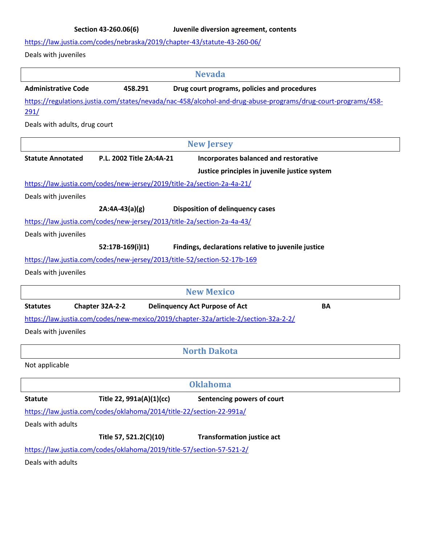https://law.justia.com/codes/nebraska/2019/chapter-43/statute-43-260-06/

Deals with juveniles

|                               |                                                                          | <b>Nevada</b>                                                                                                 |
|-------------------------------|--------------------------------------------------------------------------|---------------------------------------------------------------------------------------------------------------|
| <b>Administrative Code</b>    | 458.291                                                                  | Drug court programs, policies and procedures                                                                  |
|                               |                                                                          | https://regulations.justia.com/states/nevada/nac-458/alcohol-and-drug-abuse-programs/drug-court-programs/458- |
| 291/                          |                                                                          |                                                                                                               |
| Deals with adults, drug court |                                                                          |                                                                                                               |
|                               |                                                                          | <b>New Jersey</b>                                                                                             |
| <b>Statute Annotated</b>      | P.L. 2002 Title 2A:4A-21                                                 | Incorporates balanced and restorative                                                                         |
|                               |                                                                          | Justice principles in juvenile justice system                                                                 |
|                               | https://law.justia.com/codes/new-jersey/2019/title-2a/section-2a-4a-21/  |                                                                                                               |
| Deals with juveniles          |                                                                          |                                                                                                               |
|                               | $2A:4A-43(a)(g)$                                                         | <b>Disposition of delinquency cases</b>                                                                       |
|                               | https://law.justia.com/codes/new-jersey/2013/title-2a/section-2a-4a-43/  |                                                                                                               |
| Deals with juveniles          |                                                                          |                                                                                                               |
|                               | 52:17B-169(i)I1)                                                         | Findings, declarations relative to juvenile justice                                                           |
|                               | https://law.justia.com/codes/new-jersey/2013/title-52/section-52-17b-169 |                                                                                                               |
| Deals with juveniles          |                                                                          |                                                                                                               |
|                               |                                                                          | <b>New Mexico</b>                                                                                             |
| <b>Statutes</b>               | Chapter 32A-2-2                                                          | <b>Delinquency Act Purpose of Act</b><br><b>BA</b>                                                            |
|                               |                                                                          | https://law.justia.com/codes/new-mexico/2019/chapter-32a/article-2/section-32a-2-2/                           |
| Deals with juveniles          |                                                                          |                                                                                                               |
|                               |                                                                          | <b>North Dakota</b>                                                                                           |
| Not applicable                |                                                                          |                                                                                                               |
|                               |                                                                          | <b>Oklahoma</b>                                                                                               |
| <b>Statute</b>                | Title 22, 991a(A)(1)(cc)                                                 | Sentencing powers of court                                                                                    |
|                               | https://law.justia.com/codes/oklahoma/2014/title-22/section-22-991a/     |                                                                                                               |
| Deals with adults             |                                                                          |                                                                                                               |
|                               | Title 57, 521.2(C)(10)                                                   | <b>Transformation justice act</b>                                                                             |
|                               |                                                                          |                                                                                                               |
|                               | https://law.justia.com/codes/oklahoma/2019/title-57/section-57-521-2/    |                                                                                                               |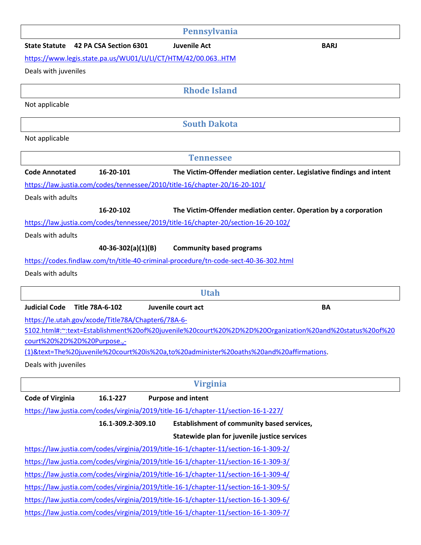| Pennsylvania                                                                                                                                                                 |
|------------------------------------------------------------------------------------------------------------------------------------------------------------------------------|
| <b>Juvenile Act</b><br><b>State Statute</b><br>42 PA CSA Section 6301<br><b>BARJ</b>                                                                                         |
| https://www.legis.state.pa.us/WU01/LI/LI/CT/HTM/42/00.063HTM                                                                                                                 |
| Deals with juveniles                                                                                                                                                         |
| <b>Rhode Island</b>                                                                                                                                                          |
| Not applicable                                                                                                                                                               |
|                                                                                                                                                                              |
| <b>South Dakota</b>                                                                                                                                                          |
| Not applicable                                                                                                                                                               |
| <b>Tennessee</b>                                                                                                                                                             |
| <b>Code Annotated</b><br>16-20-101<br>The Victim-Offender mediation center. Legislative findings and intent                                                                  |
| https://law.justia.com/codes/tennessee/2010/title-16/chapter-20/16-20-101/                                                                                                   |
| Deals with adults                                                                                                                                                            |
| 16-20-102<br>The Victim-Offender mediation center. Operation by a corporation                                                                                                |
| https://law.justia.com/codes/tennessee/2019/title-16/chapter-20/section-16-20-102/                                                                                           |
| Deals with adults                                                                                                                                                            |
| $40-36-302(a)(1)(B)$<br><b>Community based programs</b>                                                                                                                      |
| https://codes.findlaw.com/tn/title-40-criminal-procedure/tn-code-sect-40-36-302.html                                                                                         |
| Deals with adults                                                                                                                                                            |
|                                                                                                                                                                              |
|                                                                                                                                                                              |
| <b>Utah</b>                                                                                                                                                                  |
| <b>Judicial Code</b><br>Title 78A-6-102<br>Juvenile court act<br>BA                                                                                                          |
| https://le.utah.gov/xcode/Title78A/Chapter6/78A-6-                                                                                                                           |
| S102.html#:~:text=Establishment%20of%20juvenile%20court%20%2D%2D%20Organization%20and%20status%20of%20                                                                       |
| court%20%2D%2D%20Purpose.,-                                                                                                                                                  |
| (1)&text=The%20juvenile%20court%20is%20a,to%20administer%20oaths%20and%20affirmations.<br>Deals with juveniles                                                               |
|                                                                                                                                                                              |
| <b>Virginia</b>                                                                                                                                                              |
| <b>Code of Virginia</b><br><b>Purpose and intent</b><br>16.1-227                                                                                                             |
| https://law.justia.com/codes/virginia/2019/title-16-1/chapter-11/section-16-1-227/                                                                                           |
| 16.1-309.2-309.10<br>Establishment of community based services,                                                                                                              |
| Statewide plan for juvenile justice services<br>https://law.justia.com/codes/virginia/2019/title-16-1/chapter-11/section-16-1-309-2/                                         |
| https://law.justia.com/codes/virginia/2019/title-16-1/chapter-11/section-16-1-309-3/                                                                                         |
| https://law.justia.com/codes/virginia/2019/title-16-1/chapter-11/section-16-1-309-4/                                                                                         |
| https://law.justia.com/codes/virginia/2019/title-16-1/chapter-11/section-16-1-309-5/                                                                                         |
|                                                                                                                                                                              |
| https://law.justia.com/codes/virginia/2019/title-16-1/chapter-11/section-16-1-309-6/<br>https://law.justia.com/codes/virginia/2019/title-16-1/chapter-11/section-16-1-309-7/ |